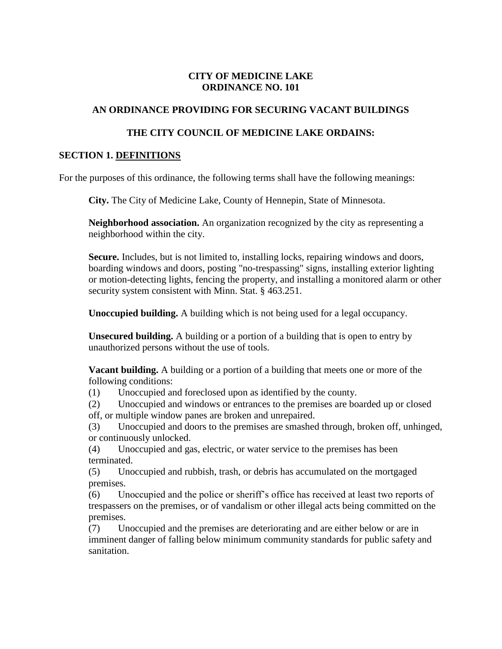#### **CITY OF MEDICINE LAKE ORDINANCE NO. 101**

#### **AN ORDINANCE PROVIDING FOR SECURING VACANT BUILDINGS**

#### **THE CITY COUNCIL OF MEDICINE LAKE ORDAINS:**

#### **SECTION 1. DEFINITIONS**

For the purposes of this ordinance, the following terms shall have the following meanings:

**City.** The City of Medicine Lake, County of Hennepin, State of Minnesota.

**Neighborhood association.** An organization recognized by the city as representing a neighborhood within the city.

**Secure.** Includes, but is not limited to, installing locks, repairing windows and doors, boarding windows and doors, posting "no-trespassing" signs, installing exterior lighting or motion-detecting lights, fencing the property, and installing a monitored alarm or other security system consistent with Minn. Stat. § 463.251.

**Unoccupied building.** A building which is not being used for a legal occupancy.

**Unsecured building.** A building or a portion of a building that is open to entry by unauthorized persons without the use of tools.

**Vacant building.** A building or a portion of a building that meets one or more of the following conditions:

(1) Unoccupied and foreclosed upon as identified by the county.

(2) Unoccupied and windows or entrances to the premises are boarded up or closed off, or multiple window panes are broken and unrepaired.

(3) Unoccupied and doors to the premises are smashed through, broken off, unhinged, or continuously unlocked.

(4) Unoccupied and gas, electric, or water service to the premises has been terminated.

(5) Unoccupied and rubbish, trash, or debris has accumulated on the mortgaged premises.

(6) Unoccupied and the police or sheriff's office has received at least two reports of trespassers on the premises, or of vandalism or other illegal acts being committed on the premises.

(7) Unoccupied and the premises are deteriorating and are either below or are in imminent danger of falling below minimum community standards for public safety and sanitation.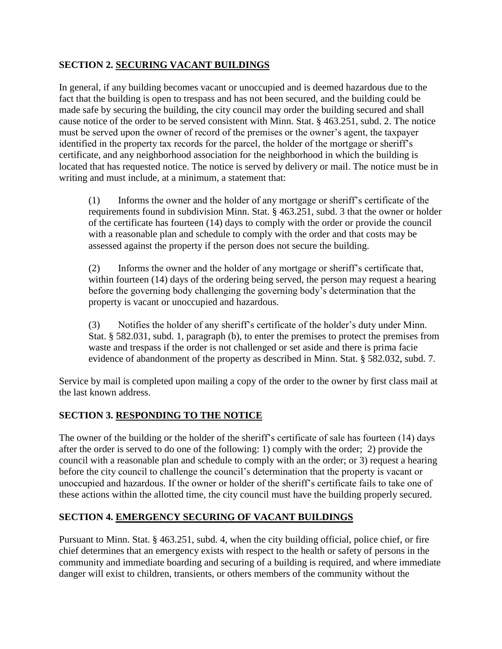### **SECTION 2. SECURING VACANT BUILDINGS**

In general, if any building becomes vacant or unoccupied and is deemed hazardous due to the fact that the building is open to trespass and has not been secured, and the building could be made safe by securing the building, the city council may order the building secured and shall cause notice of the order to be served consistent with Minn. Stat. § 463.251, subd. 2. The notice must be served upon the owner of record of the premises or the owner's agent, the taxpayer identified in the property tax records for the parcel, the holder of the mortgage or sheriff's certificate, and any neighborhood association for the neighborhood in which the building is located that has requested notice. The notice is served by delivery or mail. The notice must be in writing and must include, at a minimum, a statement that:

(1) Informs the owner and the holder of any mortgage or sheriff's certificate of the requirements found in subdivision Minn. Stat. § 463.251, subd. 3 that the owner or holder of the certificate has fourteen (14) days to comply with the order or provide the council with a reasonable plan and schedule to comply with the order and that costs may be assessed against the property if the person does not secure the building.

(2) Informs the owner and the holder of any mortgage or sheriff's certificate that, within fourteen (14) days of the ordering being served, the person may request a hearing before the governing body challenging the governing body's determination that the property is vacant or unoccupied and hazardous.

(3) Notifies the holder of any sheriff's certificate of the holder's duty under Minn. Stat. § 582.031, subd. 1, paragraph (b), to enter the premises to protect the premises from waste and trespass if the order is not challenged or set aside and there is prima facie evidence of abandonment of the property as described in Minn. Stat. § 582.032, subd. 7.

Service by mail is completed upon mailing a copy of the order to the owner by first class mail at the last known address.

## **SECTION 3. RESPONDING TO THE NOTICE**

The owner of the building or the holder of the sheriff's certificate of sale has fourteen (14) days after the order is served to do one of the following: 1) comply with the order; 2) provide the council with a reasonable plan and schedule to comply with an the order; or 3) request a hearing before the city council to challenge the council's determination that the property is vacant or unoccupied and hazardous. If the owner or holder of the sheriff's certificate fails to take one of these actions within the allotted time, the city council must have the building properly secured.

### **SECTION 4. EMERGENCY SECURING OF VACANT BUILDINGS**

Pursuant to Minn. Stat. § 463.251, subd. 4, when the city building official, police chief, or fire chief determines that an emergency exists with respect to the health or safety of persons in the community and immediate boarding and securing of a building is required, and where immediate danger will exist to children, transients, or others members of the community without the